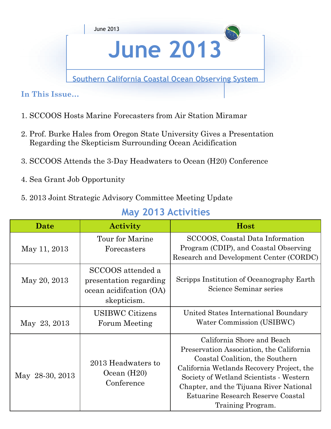

# **June 2013**

**Southern California Coastal Ocean Observing System** 

**In This Issue…** 

- 1. SCCOOS Hosts Marine Forecasters from Air Station Miramar
- 2. Prof. Burke Hales from Oregon State University Gives a Presentation Regarding the Skepticism Surrounding Ocean Acidification
- 3. SCCOOS Attends the 3-Day Headwaters to Ocean (H20) Conference
- 4. Sea Grant Job Opportunity
- 5. 2013 Joint Strategic Advisory Committee Meeting Update

#### **May 2013 Activities**

| Date            | <b>Activity</b>                                                                        | Host                                                                                                                                                                                                                                                                                                    |
|-----------------|----------------------------------------------------------------------------------------|---------------------------------------------------------------------------------------------------------------------------------------------------------------------------------------------------------------------------------------------------------------------------------------------------------|
| May 11, 2013    | Tour for Marine<br>Forecasters                                                         | SCCOOS, Coastal Data Information<br>Program (CDIP), and Coastal Observing<br>Research and Development Center (CORDC)                                                                                                                                                                                    |
| May 20, 2013    | SCCOOS attended a<br>presentation regarding<br>ocean acidification (OA)<br>skepticism. | Scripps Institution of Oceanography Earth<br>Science Seminar series                                                                                                                                                                                                                                     |
| May 23, 2013    | <b>USIBWC Citizens</b><br>Forum Meeting                                                | United States International Boundary<br>Water Commission (USIBWC)                                                                                                                                                                                                                                       |
| May 28-30, 2013 | 2013 Headwaters to<br>Ocean $(H20)$<br>Conference                                      | California Shore and Beach<br>Preservation Association, the California<br>Coastal Coalition, the Southern<br>California Wetlands Recovery Project, the<br>Society of Wetland Scientists - Western<br>Chapter, and the Tijuana River National<br>Estuarine Research Reserve Coastal<br>Training Program. |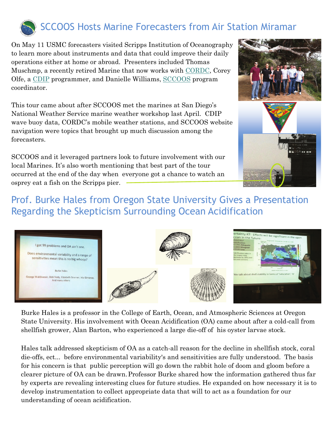

On May 11 USMC forecasters visited Scripps Institution of Oceanography to learn more about instruments and data that could improve their daily operations either at home or abroad. Presenters included Thomas Muschmp, a recently retired Marine that now works with CORDC, Corey Olfe, a CDIP programmer, and Danielle Williams, SCCOOS program coordinator.

This tour came about after SCCOOS met the marines at San Diego's National Weather Service marine weather workshop last April. CDIP wave buoy data, CORDC's mobile weather stations, and SCCOOS website navigation were topics that brought up much discussion among the forecasters.

SCCOOS and it leveraged partners look to future involvement with our local Marines. It's also worth mentioning that best part of the tour occurred at the end of the day when everyone got a chance to watch an osprey eat a fish on the Scripps pier.



### Prof. Burke Hales from Oregon State University Gives a Presentation Regarding the Skepticism Surrounding Ocean Acidification



Burke Hales is a professor in the College of Earth, Ocean, and Atmospheric Sciences at Oregon State University. His involvement with Ocean Acidification (OA) came about after a cold-call from shellfish grower, Alan Barton, who experienced a large die-off of his oyster larvae stock.

Hales talk addressed skepticism of OA as a catch-all reason for the decline in shellfish stock, coral die-offs, ect... before environmental variability's and sensitivities are fully understood. The basis for his concern is that public perception will go down the rabbit hole of doom and gloom before a clearer picture of OA can be drawn.Professor Burke shared how the information gathered thus far by experts are revealing interesting clues for future studies. He expanded on how necessary it is to develop instrumentation to collect appropriate data that will to act as a foundation for our understanding of ocean acidification.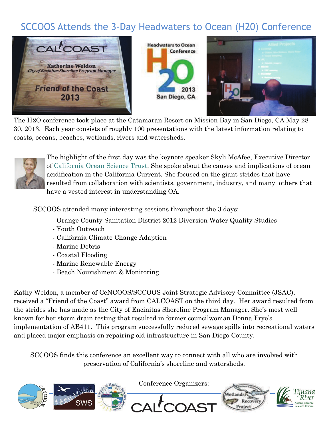## SCCOOS Attends the 3-Day Headwaters to Ocean (H20) Conference



The H2O conference took place at the Catamaran Resort on Mission Bay in San Diego, CA May 28- 30, 2013. Each year consists of roughly 100 presentations with the latest information relating to coasts, oceans, beaches, wetlands, rivers and watersheds.



The highlight of the first day was the keynote speaker Skyli McAfee, Executive Director of [California Ocean Science Trust](http://calost.org/). She spoke about the causes and implications of ocean acidification in the California Current. She focused on the giant strides that have resulted from collaboration with scientists, government, industry, and many others that have a vested interest in understanding OA.

SCCOOS attended many interesting sessions throughout the 3 days:

- Orange County Sanitation District 2012 Diversion Water Quality Studies
- Youth Outreach
- California Climate Change Adaption
- Marine Debris
- Coastal Flooding
- Marine Renewable Energy
- Beach Nourishment & Monitoring

Kathy Weldon, a member of CeNCOOS/SCCOOS Joint Strategic Advisory Committee (JSAC), received a "Friend of the Coast" award from CALCOAST on the third day. Her award resulted from the strides she has made as the City of Encinitas Shoreline Program Manager. She's most well known for her storm drain testing that resulted in former councilwoman Donna Frye's implementation of AB411. This program successfully reduced sewage spills into recreational waters and placed major emphasis on repairing old infrastructure in San Diego County.

SCCOOS finds this conference an excellent way to connect with all who are involved with preservation of California's shoreline and watersheds.